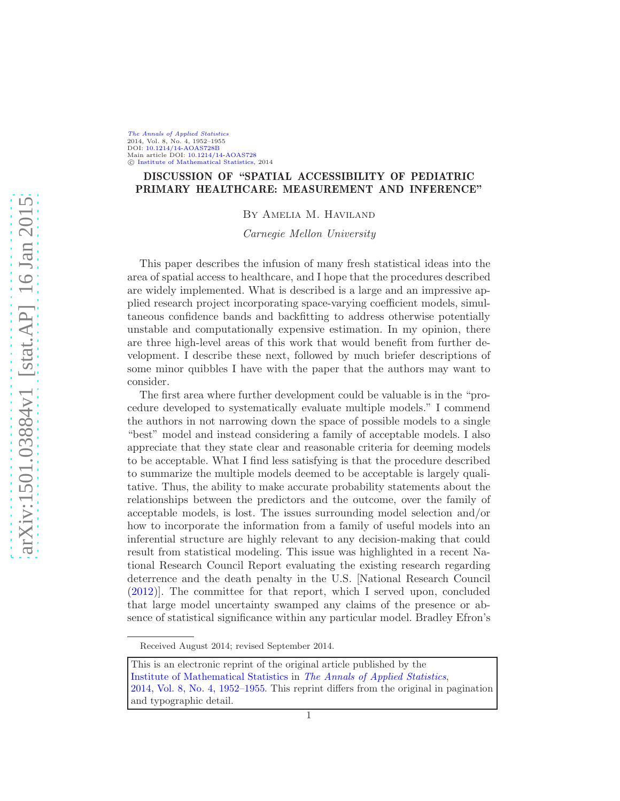#### [The Annals of Applied Statistics](http://www.imstat.org/aoas/) 2014, Vol. 8, No. 4, 1952–1955 DOI: [10.1214/14-AOAS728B](http://dx.doi.org/10.1214/14-AOAS728B) Main article DOI: [10.1214/14-AOAS728](http://dx.doi.org/10.1214/14-AOAS728)  $\odot$  [Institute of Mathematical Statistics,](http://www.imstat.org) 2014

# DISCUSSION OF "SPATIAL ACCESSIBILITY OF PEDIATRIC PRIMARY HEALTHCARE: MEASUREMENT AND INFERENCE"

By Amelia M. Haviland

Carnegie Mellon University

This paper describes the infusion of many fresh statistical ideas into the area of spatial access to healthcare, and I hope that the procedures described are widely implemented. What is described is a large and an impressive applied research project incorporating space-varying coefficient models, simultaneous confidence bands and backfitting to address otherwise potentially unstable and computationally expensive estimation. In my opinion, there are three high-level areas of this work that would benefit from further development. I describe these next, followed by much briefer descriptions of some minor quibbles I have with the paper that the authors may want to consider.

The first area where further development could be valuable is in the "procedure developed to systematically evaluate multiple models." I commend the authors in not narrowing down the space of possible models to a single "best" model and instead considering a family of acceptable models. I also appreciate that they state clear and reasonable criteria for deeming models to be acceptable. What I find less satisfying is that the procedure described to summarize the multiple models deemed to be acceptable is largely qualitative. Thus, the ability to make accurate probability statements about the relationships between the predictors and the outcome, over the family of acceptable models, is lost. The issues surrounding model selection and/or how to incorporate the information from a family of useful models into an inferential structure are highly relevant to any decision-making that could result from statistical modeling. This issue was highlighted in a recent National Research Council Report evaluating the existing research regarding deterrence and the death penalty in the U.S. [National Research Council [\(2012\)](#page-3-0)]. The committee for that report, which I served upon, concluded that large model uncertainty swamped any claims of the presence or absence of statistical significance within any particular model. Bradley Efron's

Received August 2014; revised September 2014.

This is an electronic reprint of the original article published by the [Institute of Mathematical Statistics](http://www.imstat.org) in [The Annals of Applied Statistics](http://www.imstat.org/aoas/), [2014, Vol. 8, No. 4, 1952–1955.](http://dx.doi.org/10.1214/14-AOAS728B) This reprint differs from the original in pagination and typographic detail.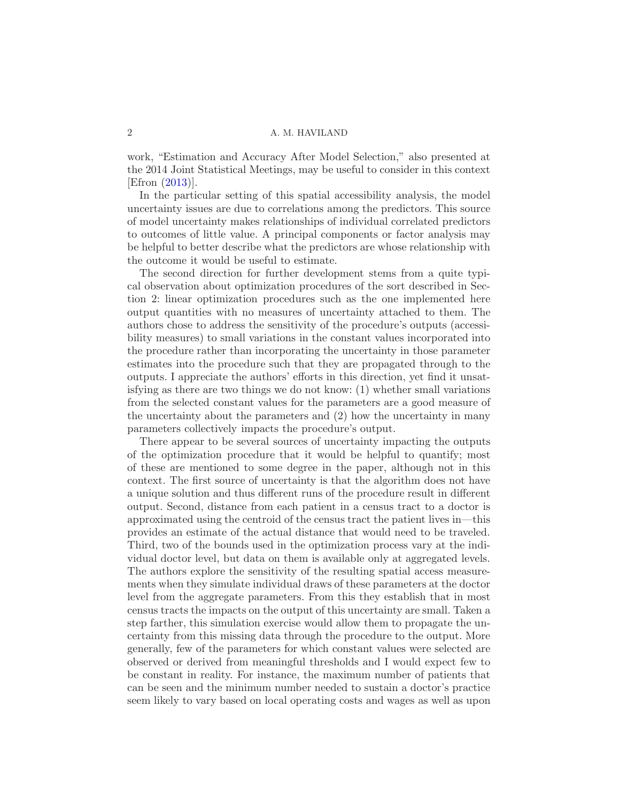# 2 A. M. HAVILAND

work, "Estimation and Accuracy After Model Selection," also presented at the 2014 Joint Statistical Meetings, may be useful to consider in this context [Efron [\(2013](#page-3-1))].

In the particular setting of this spatial accessibility analysis, the model uncertainty issues are due to correlations among the predictors. This source of model uncertainty makes relationships of individual correlated predictors to outcomes of little value. A principal components or factor analysis may be helpful to better describe what the predictors are whose relationship with the outcome it would be useful to estimate.

The second direction for further development stems from a quite typical observation about optimization procedures of the sort described in Section 2: linear optimization procedures such as the one implemented here output quantities with no measures of uncertainty attached to them. The authors chose to address the sensitivity of the procedure's outputs (accessibility measures) to small variations in the constant values incorporated into the procedure rather than incorporating the uncertainty in those parameter estimates into the procedure such that they are propagated through to the outputs. I appreciate the authors' efforts in this direction, yet find it unsatisfying as there are two things we do not know: (1) whether small variations from the selected constant values for the parameters are a good measure of the uncertainty about the parameters and (2) how the uncertainty in many parameters collectively impacts the procedure's output.

There appear to be several sources of uncertainty impacting the outputs of the optimization procedure that it would be helpful to quantify; most of these are mentioned to some degree in the paper, although not in this context. The first source of uncertainty is that the algorithm does not have a unique solution and thus different runs of the procedure result in different output. Second, distance from each patient in a census tract to a doctor is approximated using the centroid of the census tract the patient lives in—this provides an estimate of the actual distance that would need to be traveled. Third, two of the bounds used in the optimization process vary at the individual doctor level, but data on them is available only at aggregated levels. The authors explore the sensitivity of the resulting spatial access measurements when they simulate individual draws of these parameters at the doctor level from the aggregate parameters. From this they establish that in most census tracts the impacts on the output of this uncertainty are small. Taken a step farther, this simulation exercise would allow them to propagate the uncertainty from this missing data through the procedure to the output. More generally, few of the parameters for which constant values were selected are observed or derived from meaningful thresholds and I would expect few to be constant in reality. For instance, the maximum number of patients that can be seen and the minimum number needed to sustain a doctor's practice seem likely to vary based on local operating costs and wages as well as upon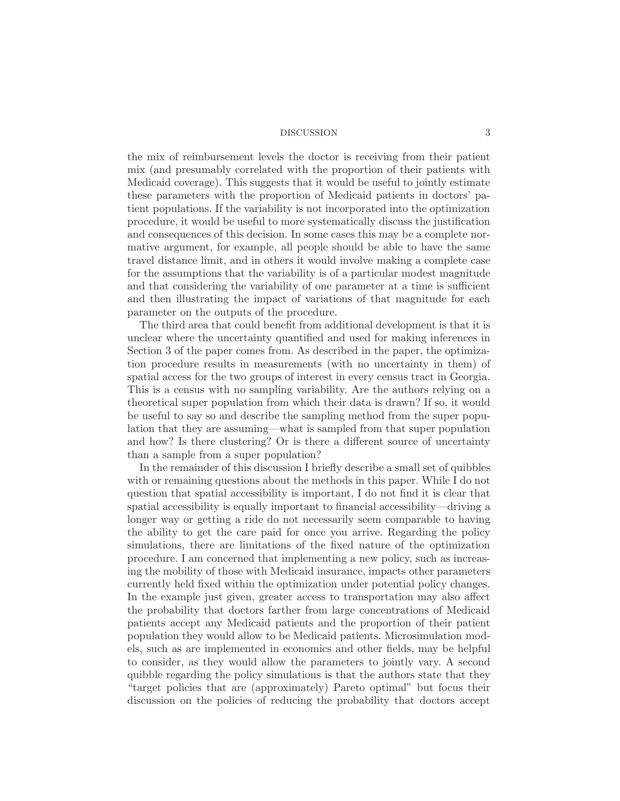#### DISCUSSION 3

the mix of reimbursement levels the doctor is receiving from their patient mix (and presumably correlated with the proportion of their patients with Medicaid coverage). This suggests that it would be useful to jointly estimate these parameters with the proportion of Medicaid patients in doctors' patient populations. If the variability is not incorporated into the optimization procedure, it would be useful to more systematically discuss the justification and consequences of this decision. In some cases this may be a complete normative argument, for example, all people should be able to have the same travel distance limit, and in others it would involve making a complete case for the assumptions that the variability is of a particular modest magnitude and that considering the variability of one parameter at a time is sufficient and then illustrating the impact of variations of that magnitude for each parameter on the outputs of the procedure.

The third area that could benefit from additional development is that it is unclear where the uncertainty quantified and used for making inferences in Section 3 of the paper comes from. As described in the paper, the optimization procedure results in measurements (with no uncertainty in them) of spatial access for the two groups of interest in every census tract in Georgia. This is a census with no sampling variability. Are the authors relying on a theoretical super population from which their data is drawn? If so, it would be useful to say so and describe the sampling method from the super population that they are assuming—what is sampled from that super population and how? Is there clustering? Or is there a different source of uncertainty than a sample from a super population?

In the remainder of this discussion I briefly describe a small set of quibbles with or remaining questions about the methods in this paper. While I do not question that spatial accessibility is important, I do not find it is clear that spatial accessibility is equally important to financial accessibility—driving a longer way or getting a ride do not necessarily seem comparable to having the ability to get the care paid for once you arrive. Regarding the policy simulations, there are limitations of the fixed nature of the optimization procedure. I am concerned that implementing a new policy, such as increasing the mobility of those with Medicaid insurance, impacts other parameters currently held fixed within the optimization under potential policy changes. In the example just given, greater access to transportation may also affect the probability that doctors farther from large concentrations of Medicaid patients accept any Medicaid patients and the proportion of their patient population they would allow to be Medicaid patients. Microsimulation models, such as are implemented in economics and other fields, may be helpful to consider, as they would allow the parameters to jointly vary. A second quibble regarding the policy simulations is that the authors state that they "target policies that are (approximately) Pareto optimal" but focus their discussion on the policies of reducing the probability that doctors accept